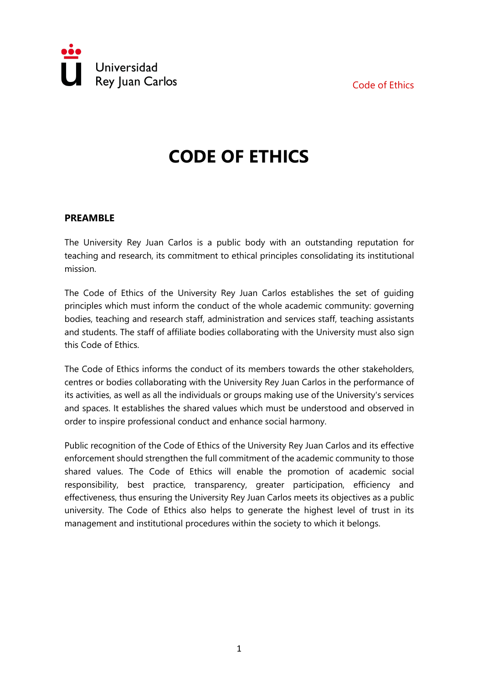Code of Ethics



## **CODE OF ETHICS**

## **PREAMBLE**

The University Rey Juan Carlos is a public body with an outstanding reputation for teaching and research, its commitment to ethical principles consolidating its institutional mission.

The Code of Ethics of the University Rey Juan Carlos establishes the set of guiding principles which must inform the conduct of the whole academic community: governing bodies, teaching and research staff, administration and services staff, teaching assistants and students. The staff of affiliate bodies collaborating with the University must also sign this Code of Ethics.

The Code of Ethics informs the conduct of its members towards the other stakeholders, centres or bodies collaborating with the University Rey Juan Carlos in the performance of its activities, as well as all the individuals or groups making use of the University's services and spaces. It establishes the shared values which must be understood and observed in order to inspire professional conduct and enhance social harmony.

Public recognition of the Code of Ethics of the University Rey Juan Carlos and its effective enforcement should strengthen the full commitment of the academic community to those shared values. The Code of Ethics will enable the promotion of academic social responsibility, best practice, transparency, greater participation, efficiency and effectiveness, thus ensuring the University Rey Juan Carlos meets its objectives as a public university. The Code of Ethics also helps to generate the highest level of trust in its management and institutional procedures within the society to which it belongs.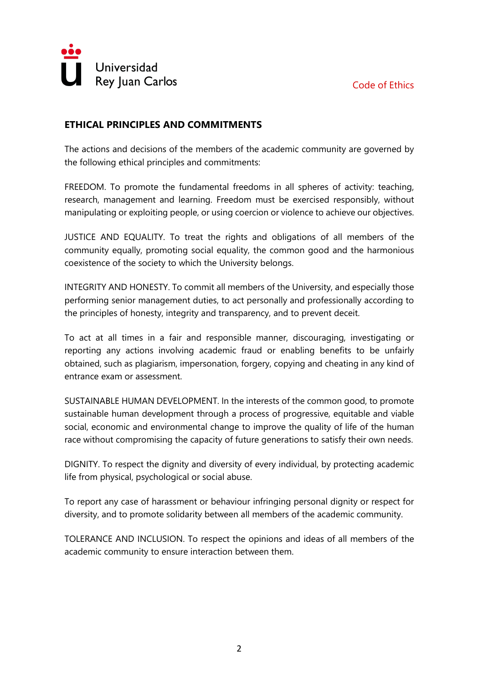

## **ETHICAL PRINCIPLES AND COMMITMENTS**

The actions and decisions of the members of the academic community are governed by the following ethical principles and commitments:

FREEDOM. To promote the fundamental freedoms in all spheres of activity: teaching, research, management and learning. Freedom must be exercised responsibly, without manipulating or exploiting people, or using coercion or violence to achieve our objectives.

JUSTICE AND EQUALITY. To treat the rights and obligations of all members of the community equally, promoting social equality, the common good and the harmonious coexistence of the society to which the University belongs.

INTEGRITY AND HONESTY. To commit all members of the University, and especially those performing senior management duties, to act personally and professionally according to the principles of honesty, integrity and transparency, and to prevent deceit.

To act at all times in a fair and responsible manner, discouraging, investigating or reporting any actions involving academic fraud or enabling benefits to be unfairly obtained, such as plagiarism, impersonation, forgery, copying and cheating in any kind of entrance exam or assessment.

SUSTAINABLE HUMAN DEVELOPMENT. In the interests of the common good, to promote sustainable human development through a process of progressive, equitable and viable social, economic and environmental change to improve the quality of life of the human race without compromising the capacity of future generations to satisfy their own needs.

DIGNITY. To respect the dignity and diversity of every individual, by protecting academic life from physical, psychological or social abuse.

To report any case of harassment or behaviour infringing personal dignity or respect for diversity, and to promote solidarity between all members of the academic community.

TOLERANCE AND INCLUSION. To respect the opinions and ideas of all members of the academic community to ensure interaction between them.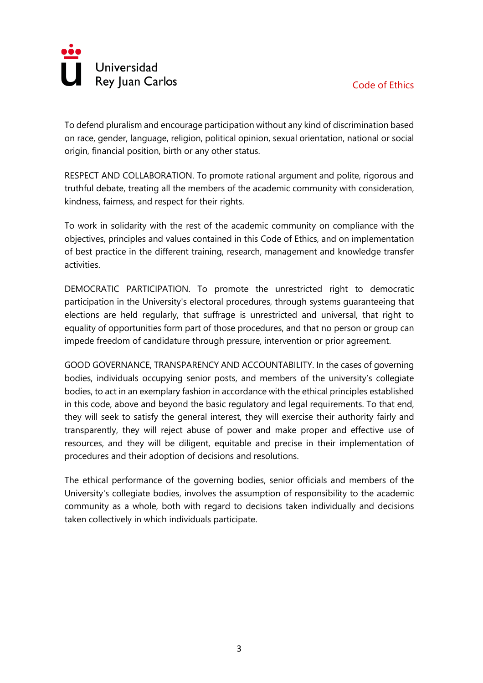

To defend pluralism and encourage participation without any kind of discrimination based on race, gender, language, religion, political opinion, sexual orientation, national or social origin, financial position, birth or any other status.

RESPECT AND COLLABORATION. To promote rational argument and polite, rigorous and truthful debate, treating all the members of the academic community with consideration, kindness, fairness, and respect for their rights.

To work in solidarity with the rest of the academic community on compliance with the objectives, principles and values contained in this Code of Ethics, and on implementation of best practice in the different training, research, management and knowledge transfer activities.

DEMOCRATIC PARTICIPATION. To promote the unrestricted right to democratic participation in the University's electoral procedures, through systems guaranteeing that elections are held regularly, that suffrage is unrestricted and universal, that right to equality of opportunities form part of those procedures, and that no person or group can impede freedom of candidature through pressure, intervention or prior agreement.

GOOD GOVERNANCE, TRANSPARENCY AND ACCOUNTABILITY. In the cases of governing bodies, individuals occupying senior posts, and members of the university's collegiate bodies, to act in an exemplary fashion in accordance with the ethical principles established in this code, above and beyond the basic regulatory and legal requirements. To that end, they will seek to satisfy the general interest, they will exercise their authority fairly and transparently, they will reject abuse of power and make proper and effective use of resources, and they will be diligent, equitable and precise in their implementation of procedures and their adoption of decisions and resolutions.

The ethical performance of the governing bodies, senior officials and members of the University's collegiate bodies, involves the assumption of responsibility to the academic community as a whole, both with regard to decisions taken individually and decisions taken collectively in which individuals participate.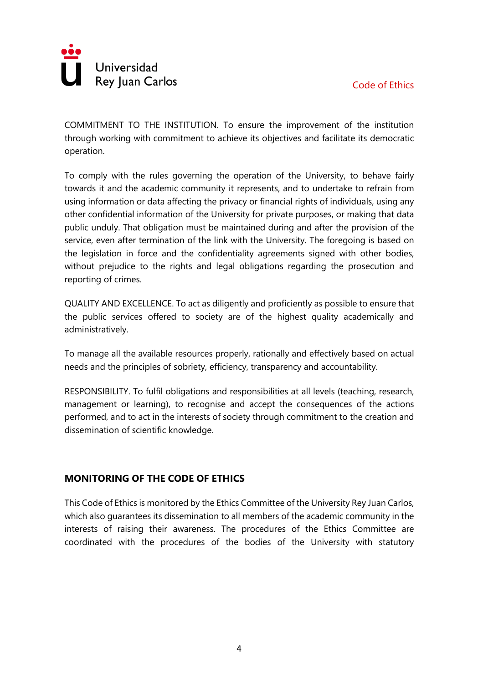

COMMITMENT TO THE INSTITUTION. To ensure the improvement of the institution through working with commitment to achieve its objectives and facilitate its democratic operation.

To comply with the rules governing the operation of the University, to behave fairly towards it and the academic community it represents, and to undertake to refrain from using information or data affecting the privacy or financial rights of individuals, using any other confidential information of the University for private purposes, or making that data public unduly. That obligation must be maintained during and after the provision of the service, even after termination of the link with the University. The foregoing is based on the legislation in force and the confidentiality agreements signed with other bodies, without prejudice to the rights and legal obligations regarding the prosecution and reporting of crimes.

QUALITY AND EXCELLENCE. To act as diligently and proficiently as possible to ensure that the public services offered to society are of the highest quality academically and administratively.

To manage all the available resources properly, rationally and effectively based on actual needs and the principles of sobriety, efficiency, transparency and accountability.

RESPONSIBILITY. To fulfil obligations and responsibilities at all levels (teaching, research, management or learning), to recognise and accept the consequences of the actions performed, and to act in the interests of society through commitment to the creation and dissemination of scientific knowledge.

## **MONITORING OF THE CODE OF ETHICS**

This Code of Ethics is monitored by the Ethics Committee of the University Rey Juan Carlos, which also guarantees its dissemination to all members of the academic community in the interests of raising their awareness. The procedures of the Ethics Committee are coordinated with the procedures of the bodies of the University with statutory